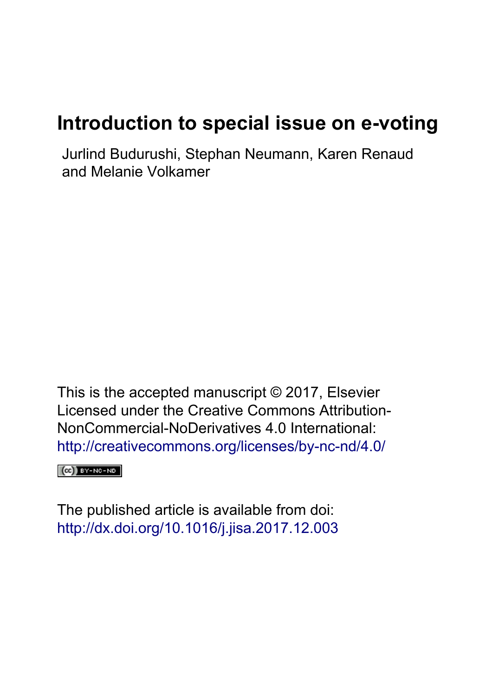## **Introduction to special issue on e-voting**

Jurlind Budurushi, Stephan Neumann, Karen Renaud and Melanie Volkamer

This is the accepted manuscript © 2017, Elsevier Licensed under the Creative Commons Attribution-NonCommercial-NoDerivatives 4.0 International: <http://creativecommons.org/licenses/by-nc-nd/4.0/>

 $(CC)$  BY-NC-ND

The published article is available from doi: <http://dx.doi.org/10.1016/j.jisa.2017.12.003>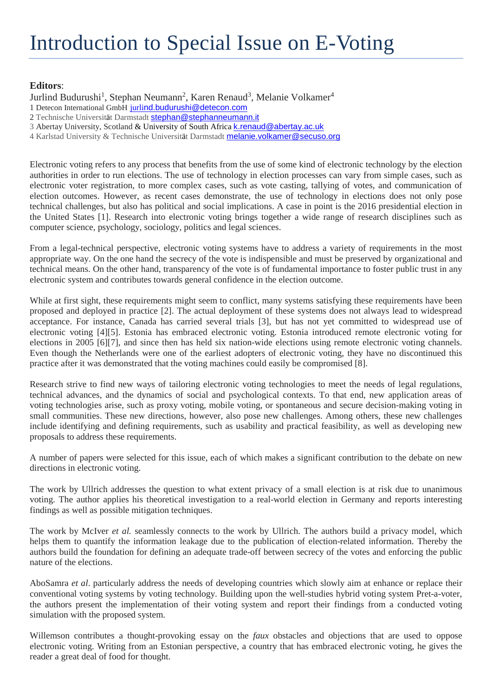## **Editors**:

Jurlind Budurushi<sup>1</sup>, Stephan Neumann<sup>2</sup>, Karen Renaud<sup>3</sup>, Melanie Volkamer<sup>4</sup> 1 Detecon International GmbH jurlind.budurushi@detecon.com 2 Technische Universität Darmstadt stephan@stephanneumann.it 3 Abertay University, Scotland & University of South Africa k.renaud@abertay.ac.uk

4 Karlstad University & Technische Universität Darmstadt melanie.volkamer@secuso.org

Electronic voting refers to any process that benefits from the use of some kind of electronic technology by the election authorities in order to run elections. The use of technology in election processes can vary from simple cases, such as electronic voter registration, to more complex cases, such as vote casting, tallying of votes, and communication of election outcomes. However, as recent cases demonstrate, the use of technology in elections does not only pose technical challenges, but also has political and social implications. A case in point is the 2016 presidential election in the United States [1]. Research into electronic voting brings together a wide range of research disciplines such as computer science, psychology, sociology, politics and legal sciences.

From a legal-technical perspective, electronic voting systems have to address a variety of requirements in the most appropriate way. On the one hand the secrecy of the vote is indispensible and must be preserved by organizational and technical means. On the other hand, transparency of the vote is of fundamental importance to foster public trust in any electronic system and contributes towards general confidence in the election outcome.

While at first sight, these requirements might seem to conflict, many systems satisfying these requirements have been proposed and deployed in practice [2]. The actual deployment of these systems does not always lead to widespread acceptance. For instance, Canada has carried several trials [3], but has not yet committed to widespread use of electronic voting [4][5]. Estonia has embraced electronic voting. Estonia introduced remote electronic voting for elections in 2005 [6][7], and since then has held six nation-wide elections using remote electronic voting channels. Even though the Netherlands were one of the earliest adopters of electronic voting, they have no discontinued this practice after it was demonstrated that the voting machines could easily be compromised [8].

Research strive to find new ways of tailoring electronic voting technologies to meet the needs of legal regulations, technical advances, and the dynamics of social and psychological contexts. To that end, new application areas of voting technologies arise, such as proxy voting, mobile voting, or spontaneous and secure decision-making voting in small communities. These new directions, however, also pose new challenges. Among others, these new challenges include identifying and defining requirements, such as usability and practical feasibility, as well as developing new proposals to address these requirements.

A number of papers were selected for this issue, each of which makes a significant contribution to the debate on new directions in electronic voting.

The work by Ullrich addresses the question to what extent privacy of a small election is at risk due to unanimous voting. The author applies his theoretical investigation to a real-world election in Germany and reports interesting findings as well as possible mitigation techniques.

The work by McIver *et al.* seamlessly connects to the work by Ullrich. The authors build a privacy model, which helps them to quantify the information leakage due to the publication of election-related information. Thereby the authors build the foundation for defining an adequate trade-off between secrecy of the votes and enforcing the public nature of the elections.

AboSamra *et al*. particularly address the needs of developing countries which slowly aim at enhance or replace their conventional voting systems by voting technology. Building upon the well-studies hybrid voting system Pret-a-voter, the authors present the implementation of their voting system and report their findings from a conducted voting simulation with the proposed system.

Willemson contributes a thought-provoking essay on the *faux* obstacles and objections that are used to oppose electronic voting. Writing from an Estonian perspective, a country that has embraced electronic voting, he gives the reader a great deal of food for thought.